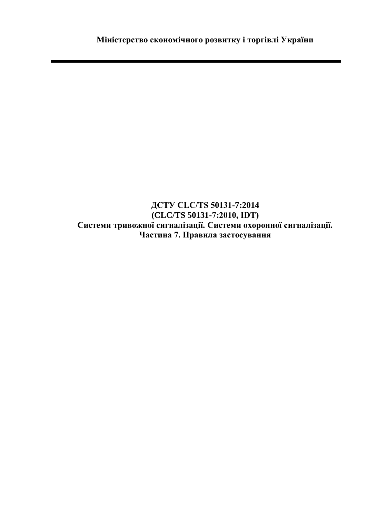## **ДСТУ CLC/TS 50131-7:2014 (CLC/TS 50131-7:2010, IDТ) Системи тривожної сигналізації. Системи охоронної сигналізації. Частина 7. Правила застосування**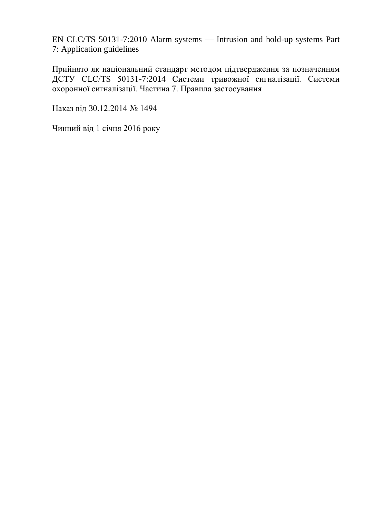EN CLC/TS 50131-7:2010 Alarm systems — Intrusion and hold-up systems Part 7: Application guidelines

Прийнято як національний стандарт методом підтвердження за позначенням ДСТУ CLC/TS 50131-7:2014 Системи тривожної сигналізації. Системи охоронної сигналізації. Частина 7. Правила застосування

Наказ від 30.12.2014 № 1494

Чинний від 1 січня 2016 року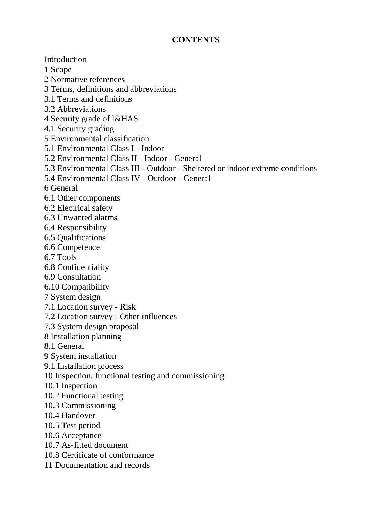## **CONTENTS**

Introduction 1 Scope 2 Normative references 3 Terms, definitions and abbreviations 3.1 Terms and definitions 3.2 Abbreviations 4 Security grade of l&HAS 4.1 Security grading 5 Environmental classification 5.1 Environmental Class I - Indoor 5.2 Environmental Class II - Indoor - General 5.3 Environmental Class III - Outdoor - Sheltered or indoor extreme conditions 5.4 Environmental Class IV - Outdoor - General 6 General 6.1 Other components 6.2 Electrical safety 6.3 Unwanted alarms 6.4 Responsibility 6.5 Qualifications 6.6 Competence 6.7 Tools 6.8 Confidentiality 6.9 Consultation 6.10 Compatibility 7 System design 7.1 Location survey - Risk 7.2 Location survey - Other influences 7.3 System design proposal 8 Installation planning 8.1 General 9 System installation 9.1 Installation process 10 Inspection, functional testing and commissioning 10.1 Inspection 10.2 Functional testing 10.3 Commissioning 10.4 Handover 10.5 Test period 10.6 Acceptance 10.7 As-fitted document 10.8 Certificate of conformance 11 Documentation and records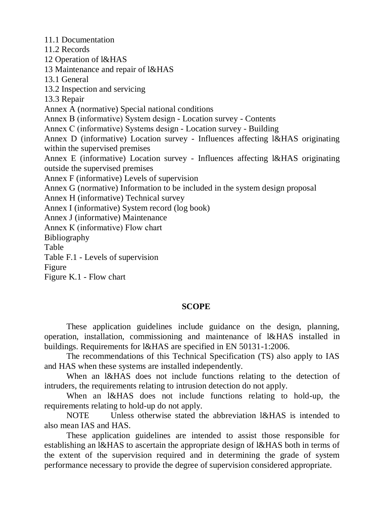11.1 Documentation 11.2 Records 12 Operation of l&HAS 13 Maintenance and repair of l&HAS 13.1 General 13.2 Inspection and servicing 13.3 Repair Annex A (normative) Special national conditions Annex В (informative) System design - Location survey - Contents Annex С (informative) Systems design - Location survey - Building Annex D (informative) Location survey - Influences affecting l&HAS originating within the supervised premises Annex E (informative) Location survey - Influences affecting l&HAS originating outside the supervised premises Annex F (informative) Levels of supervision Annex G (normative) Information to be included in the system design proposal Annex H (informative) Technical survey Annex I (informative) System record (log book) Annex J (informative) Maintenance Annex К (informative) Flow chart Bibliography Table Table F.1 - Levels of supervision Figure Figure K.1 - Flow chart

## **SCOPE**

These application guidelines include guidance on the design, planning, operation, installation, commissioning and maintenance of l&HAS installed in buildings. Requirements for l&HAS are specified in EN 50131-1:2006.

The recommendations of this Technical Specification (TS) also apply to IAS and HAS when these systems are installed independently.

When an l&HAS does not include functions relating to the detection of intruders, the requirements relating to intrusion detection do not apply.

When an l&HAS does not include functions relating to hold-up, the requirements relating to hold-up do not apply.

NOTE Unless otherwise stated the abbreviation l&HAS is intended to also mean IAS and HAS.

These application guidelines are intended to assist those responsible for establishing an l&HAS to ascertain the appropriate design of l&HAS both in terms of the extent of the supervision required and in determining the grade of system performance necessary to provide the degree of supervision considered appropriate.